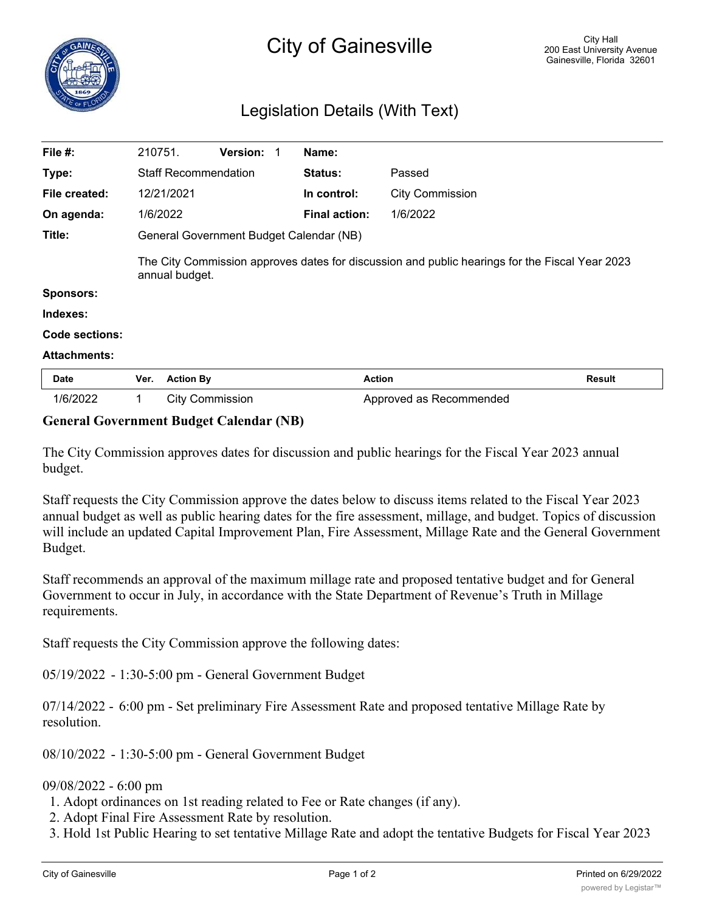

| File $#$ :          | 210751.                                                                                                          |                             | Version: 1 |  | Name:                |                         |               |
|---------------------|------------------------------------------------------------------------------------------------------------------|-----------------------------|------------|--|----------------------|-------------------------|---------------|
| Type:               |                                                                                                                  | <b>Staff Recommendation</b> |            |  | <b>Status:</b>       | Passed                  |               |
| File created:       |                                                                                                                  | 12/21/2021                  |            |  | In control:          | <b>City Commission</b>  |               |
| On agenda:          |                                                                                                                  | 1/6/2022                    |            |  | <b>Final action:</b> | 1/6/2022                |               |
| Title:              | General Government Budget Calendar (NB)                                                                          |                             |            |  |                      |                         |               |
|                     | The City Commission approves dates for discussion and public hearings for the Fiscal Year 2023<br>annual budget. |                             |            |  |                      |                         |               |
| <b>Sponsors:</b>    |                                                                                                                  |                             |            |  |                      |                         |               |
| Indexes:            |                                                                                                                  |                             |            |  |                      |                         |               |
| Code sections:      |                                                                                                                  |                             |            |  |                      |                         |               |
| <b>Attachments:</b> |                                                                                                                  |                             |            |  |                      |                         |               |
| Date                | Ver.                                                                                                             | <b>Action By</b>            |            |  |                      | <b>Action</b>           | <b>Result</b> |
| 1/6/2022            | 1                                                                                                                | <b>City Commission</b>      |            |  |                      | Approved as Recommended |               |

## **General Government Budget Calendar (NB)**

The City Commission approves dates for discussion and public hearings for the Fiscal Year 2023 annual budget.

Staff requests the City Commission approve the dates below to discuss items related to the Fiscal Year 2023 annual budget as well as public hearing dates for the fire assessment, millage, and budget. Topics of discussion will include an updated Capital Improvement Plan, Fire Assessment, Millage Rate and the General Government Budget.

Staff recommends an approval of the maximum millage rate and proposed tentative budget and for General Government to occur in July, in accordance with the State Department of Revenue's Truth in Millage requirements.

Staff requests the City Commission approve the following dates:

05/19/2022 - 1:30-5:00 pm - General Government Budget

07/14/2022 - 6:00 pm - Set preliminary Fire Assessment Rate and proposed tentative Millage Rate by resolution.

08/10/2022 - 1:30-5:00 pm - General Government Budget

## 09/08/2022 - 6:00 pm

1. Adopt ordinances on 1st reading related to Fee or Rate changes (if any).

2. Adopt Final Fire Assessment Rate by resolution.

3. Hold 1st Public Hearing to set tentative Millage Rate and adopt the tentative Budgets for Fiscal Year 2023